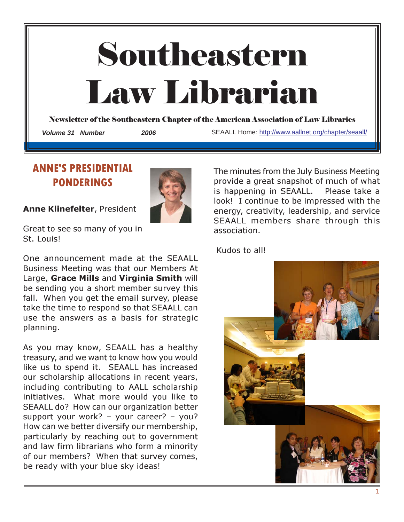

# ANNE'S PRESIDENTIAL PONDERINGS

Anne Klinefelter, President



Great to see so many of you in St. Louis!

One announcement made at the SEAALL Business Meeting was that our Members At Large, Grace Mills and Virginia Smith will be sending you a short member survey this fall. When you get the email survey, please take the time to respond so that SEAALL can use the answers as a basis for strategic planning.

As you may know, SEAALL has a healthy treasury, and we want to know how you would like us to spend it. SEAALL has increased our scholarship allocations in recent years, including contributing to AALL scholarship initiatives. What more would you like to SEAALL do? How can our organization better support your work? – your career? – you? How can we better diversify our membership, particularly by reaching out to government and law firm librarians who form a minority of our members? When that survey comes, be ready with your blue sky ideas!

The minutes from the July Business Meeting provide a great snapshot of much of what is happening in SEAALL. Please take a look! I continue to be impressed with the energy, creativity, leadership, and service SEAALL members share through this association.

Kudos to all!

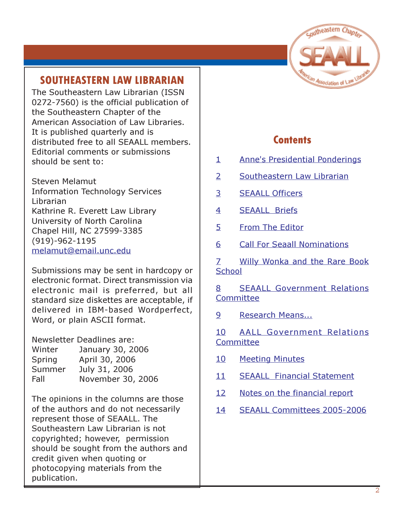

# SOUTHEASTERN LAW LIBRARIAN

The Southeastern Law Librarian (ISSN 0272-7560) is the official publication of the Southeastern Chapter of the American Association of Law Libraries. It is published quarterly and is distributed free to all SEAALL members. Editorial comments or submissions should be sent to:

Steven Melamut Information Technology Services Librarian Kathrine R. Everett Law Library University of North Carolina Chapel Hill, NC 27599-3385 (919)-962-1195 melamut@email.unc.edu

Submissions may be sent in hardcopy or electronic format. Direct transmission via electronic mail is preferred, but all standard size diskettes are acceptable, if delivered in IBM-based Wordperfect, Word, or plain ASCII format.

Newsletter Deadlines are: Winter January 30, 2006 Spring April 30, 2006 Summer July 31, 2006 Fall November 30, 2006

The opinions in the columns are those of the authors and do not necessarily represent those of SEAALL. The Southeastern Law Librarian is not copyrighted; however, permission should be sought from the authors and credit given when quoting or photocopying materials from the publication.

# **Contents**

- 1 Anne's Presidential Ponderings
- 2 Southeastern Law Librarian
- 3 SEAALL Officers
- 4 SEAALL Briefs
- 5 From The Editor
- 6 Call For Seaall Nominations

7 Willy Wonka and the Rare Book **School** 

8 SEAALL Government Relations Committee

9 Research Means...

10 AALL Government Relations **Committee** 

- 10 Meeting Minutes
- 11 SEAALL Financial Statement
- 12 Notes on the financial report
- 14 SEAALL Committees 2005-2006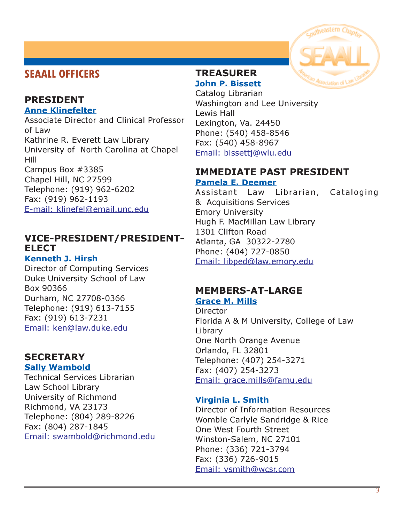# SEAALL OFFICERS

#### PRESIDENT Anne Klinefelter

Associate Director and Clinical Professor of Law Kathrine R. Everett Law Library University of North Carolina at Chapel Hill Campus Box #3385 Chapel Hill, NC 27599 Telephone: (919) 962-6202

Fax: (919) 962-1193 E-mail: klinefel@email.unc.edu

#### VICE-PRESIDENT/PRESIDENT-ELECT Kenneth J. Hirsh

Director of Computing Services Duke University School of Law Box 90366 Durham, NC 27708-0366 Telephone: (919) 613-7155 Fax: (919) 613-7231 Email: ken@law.duke.edu

#### **SECRETARY** Sally Wambold

Technical Services Librarian Law School Library University of Richmond Richmond, VA 23173 Telephone: (804) 289-8226 Fax: (804) 287-1845 Email: swambold@richmond.edu

#### TREASURER John P. Bissett

Catalog Librarian Washington and Lee University Lewis Hall Lexington, Va. 24450 Phone: (540) 458-8546 Fax: (540) 458-8967 Email: bissettj@wlu.edu

#### IMMEDIATE PAST PRESIDENT Pamela E. Deemer

Assistant Law Librarian, Cataloging & Acquisitions Services Emory University Hugh F. MacMillan Law Library 1301 Clifton Road Atlanta, GA 30322-2780 Phone: (404) 727-0850 Email: libped@law.emory.edu

# MEMBERS-AT-LARGE

Grace M. Mills

**Director** Florida A & M University, College of Law Library One North Orange Avenue Orlando, FL 32801 Telephone: (407) 254-3271 Fax: (407) 254-3273 Email: grace.mills@famu.edu

#### Virginia L. Smith

Director of Information Resources Womble Carlyle Sandridge & Rice One West Fourth Street Winston-Salem, NC 27101 Phone: (336) 721-3794 Fax: (336) 726-9015 Email: vsmith@wcsr.com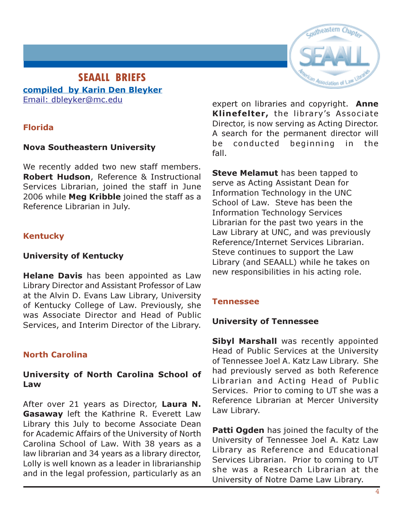# outheastern

#### SEAALL BRIEFS compiled by Karin Den Bleyker Email: dbleyker@mc.edu

#### Florida

#### Nova Southeastern University

We recently added two new staff members. Robert Hudson, Reference & Instructional Services Librarian, joined the staff in June 2006 while Meg Kribble joined the staff as a Reference Librarian in July.

#### Kentucky

#### University of Kentucky

Helane Davis has been appointed as Law Library Director and Assistant Professor of Law at the Alvin D. Evans Law Library, University of Kentucky College of Law. Previously, she was Associate Director and Head of Public Services, and Interim Director of the Library.

#### North Carolina

#### University of North Carolina School of Law

After over 21 years as Director, Laura N. Gasaway left the Kathrine R. Everett Law Library this July to become Associate Dean for Academic Affairs of the University of North Carolina School of Law. With 38 years as a law librarian and 34 years as a library director, Lolly is well known as a leader in librarianship and in the legal profession, particularly as an expert on libraries and copyright. Anne Klinefelter, the library's Associate Director, is now serving as Acting Director. A search for the permanent director will be conducted beginning in the fall.

**Steve Melamut** has been tapped to serve as Acting Assistant Dean for Information Technology in the UNC School of Law. Steve has been the Information Technology Services Librarian for the past two years in the Law Library at UNC, and was previously Reference/Internet Services Librarian. Steve continues to support the Law Library (and SEAALL) while he takes on new responsibilities in his acting role.

#### Tennessee

#### University of Tennessee

Sibyl Marshall was recently appointed Head of Public Services at the University of Tennessee Joel A. Katz Law Library. She had previously served as both Reference Librarian and Acting Head of Public Services. Prior to coming to UT she was a Reference Librarian at Mercer University Law Library.

**Patti Ogden** has joined the faculty of the University of Tennessee Joel A. Katz Law Library as Reference and Educational Services Librarian. Prior to coming to UT she was a Research Librarian at the University of Notre Dame Law Library.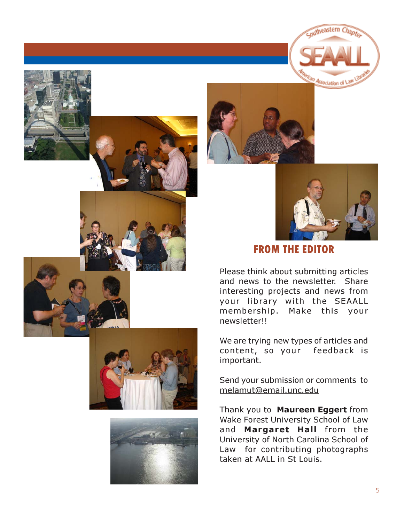





coutheastern Chapte

Association of \

# FROM THE EDITOR

Please think about submitting articles and news to the newsletter. Share interesting projects and news from your library with the SEAALL membership. Make this your newsletter!!

We are trying new types of articles and content, so your feedback is important.

Send your submission or comments to melamut@email.unc.edu

Thank you to Maureen Eggert from Wake Forest University School of Law and Margaret Hall from the University of North Carolina School of Law for contributing photographs taken at AALL in St Louis.



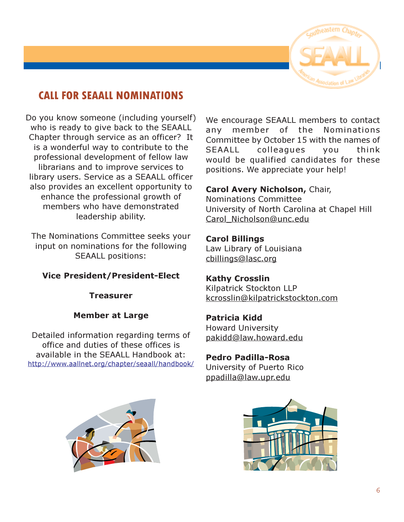

# CALL FOR SEAALL NOMINATIONS

Do you know someone (including yourself) who is ready to give back to the SEAALL Chapter through service as an officer? It is a wonderful way to contribute to the professional development of fellow law librarians and to improve services to library users. Service as a SEAALL officer also provides an excellent opportunity to enhance the professional growth of members who have demonstrated leadership ability.

The Nominations Committee seeks your input on nominations for the following SEAALL positions:

#### Vice President/President-Elect

Treasurer

#### Member at Large

Detailed information regarding terms of office and duties of these offices is available in the SEAALL Handbook at: http://www.aallnet.org/chapter/seaall/handbook/ We encourage SEAALL members to contact any member of the Nominations Committee by October 15 with the names of SEAALL colleagues you think would be qualified candidates for these positions. We appreciate your help!

#### Carol Avery Nicholson, Chair,

Nominations Committee University of North Carolina at Chapel Hill Carol\_Nicholson@unc.edu

#### Carol Billings

Law Library of Louisiana cbillings@lasc.org

#### Kathy Crosslin

Kilpatrick Stockton LLP kcrosslin@kilpatrickstockton.com

#### Patricia Kidd

Howard University pakidd@law.howard.edu

#### Pedro Padilla-Rosa

University of Puerto Rico ppadilla@law.upr.edu



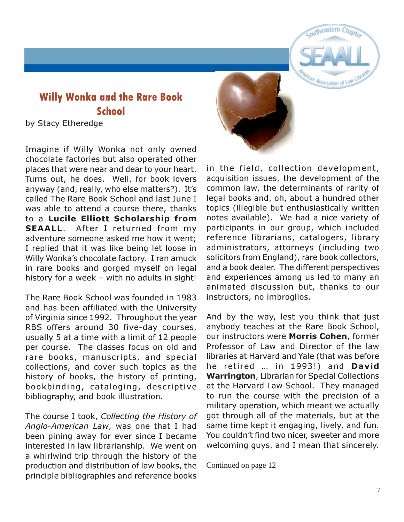# Willy Wonka and the Rare Book **School**

by Stacy Etheredge

Imagine if Willy Wonka not only owned chocolate factories but also operated other places that were near and dear to your heart. Turns out, he does. Well, for book lovers anyway (and, really, who else matters?). It's called The Rare Book School and last June I was able to attend a course there, thanks to a Lucile Elliott Scholarship from SEAALL. After I returned from my adventure someone asked me how it went; I replied that it was like being let loose in Willy Wonka's chocolate factory. I ran amuck in rare books and gorged myself on legal history for a week – with no adults in sight!

The Rare Book School was founded in 1983 and has been affiliated with the University of Virginia since 1992. Throughout the year RBS offers around 30 five-day courses, usually 5 at a time with a limit of 12 people per course. The classes focus on old and rare books, manuscripts, and special collections, and cover such topics as the history of books, the history of printing, bookbinding, cataloging, descriptive bibliography, and book illustration.

The course I took, Collecting the History of Anglo-American Law, was one that I had been pining away for ever since I became interested in law librarianship. We went on a whirlwind trip through the history of the production and distribution of law books, the principle bibliographies and reference books



in the field, collection development, acquisition issues, the development of the common law, the determinants of rarity of legal books and, oh, about a hundred other topics (illegible but enthusiastically written notes available). We had a nice variety of participants in our group, which included reference librarians, catalogers, library administrators, attorneys (including two solicitors from England), rare book collectors, and a book dealer. The different perspectives and experiences among us led to many an animated discussion but, thanks to our instructors, no imbroglios.

coutheastern

Sociation of

And by the way, lest you think that just anybody teaches at the Rare Book School, our instructors were Morris Cohen, former Professor of Law and Director of the law libraries at Harvard and Yale (that was before he retired ... in 1993!) and David Warrington, Librarian for Special Collections at the Harvard Law School. They managed to run the course with the precision of a military operation, which meant we actually got through all of the materials, but at the same time kept it engaging, lively, and fun. You couldn't find two nicer, sweeter and more welcoming guys, and I mean that sincerely.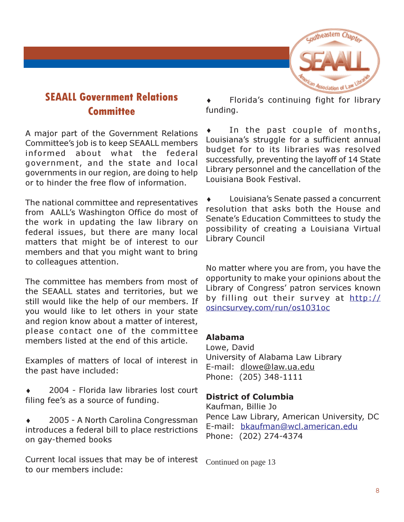

# SEAALL Government Relations **Committee**

A major part of the Government Relations Committee's job is to keep SEAALL members informed about what the federal government, and the state and local governments in our region, are doing to help or to hinder the free flow of information.

The national committee and representatives from AALL's Washington Office do most of the work in updating the law library on federal issues, but there are many local matters that might be of interest to our members and that you might want to bring to colleagues attention.

The committee has members from most of the SEAALL states and territories, but we still would like the help of our members. If you would like to let others in your state and region know about a matter of interest, please contact one of the committee members listed at the end of this article.

Examples of matters of local of interest in the past have included:

- 2004 Florida law libraries lost court filing fee's as a source of funding.
- ♦ 2005 A North Carolina Congressman introduces a federal bill to place restrictions on gay-themed books

Current local issues that may be of interest to our members include:

♦ Florida's continuing fight for library funding.

♦ In the past couple of months, Louisiana's struggle for a sufficient annual budget for to its libraries was resolved successfully, preventing the layoff of 14 State Library personnel and the cancellation of the Louisiana Book Festival.

Louisiana's Senate passed a concurrent resolution that asks both the House and Senate's Education Committees to study the possibility of creating a Louisiana Virtual Library Council

No matter where you are from, you have the opportunity to make your opinions about the Library of Congress' patron services known by filling out their survey at http:// osincsurvey.com/run/os1031oc

#### Alabama

Lowe, David University of Alabama Law Library E-mail: dlowe@law.ua.edu Phone: (205) 348-1111

#### District of Columbia

Kaufman, Billie Jo Pence Law Library, American University, DC E-mail: bkaufman@wcl.american.edu Phone: (202) 274-4374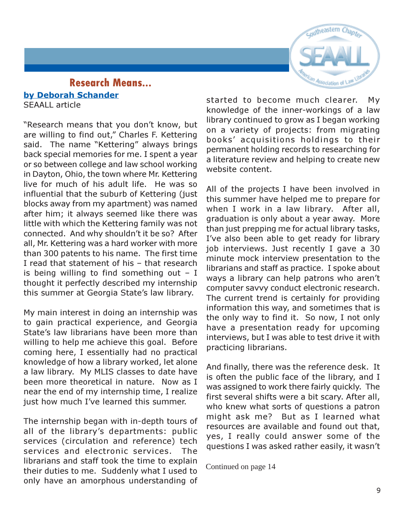

#### Research Means... by Deborah Schander SEAALL article

"Research means that you don't know, but are willing to find out," Charles F. Kettering said. The name "Kettering" always brings back special memories for me. I spent a year or so between college and law school working in Dayton, Ohio, the town where Mr. Kettering live for much of his adult life. He was so influential that the suburb of Kettering (just blocks away from my apartment) was named after him; it always seemed like there was little with which the Kettering family was not connected. And why shouldn't it be so? After all, Mr. Kettering was a hard worker with more than 300 patents to his name. The first time I read that statement of his – that research is being willing to find something out  $-$  I thought it perfectly described my internship this summer at Georgia State's law library.

My main interest in doing an internship was to gain practical experience, and Georgia State's law librarians have been more than willing to help me achieve this goal. Before coming here, I essentially had no practical knowledge of how a library worked, let alone a law library. My MLIS classes to date have been more theoretical in nature. Now as I near the end of my internship time, I realize just how much I've learned this summer.

The internship began with in-depth tours of all of the library's departments: public services (circulation and reference) tech services and electronic services. The librarians and staff took the time to explain their duties to me. Suddenly what I used to only have an amorphous understanding of started to become much clearer. My knowledge of the inner-workings of a law library continued to grow as I began working on a variety of projects: from migrating books' acquisitions holdings to their permanent holding records to researching for a literature review and helping to create new website content.

All of the projects I have been involved in this summer have helped me to prepare for when I work in a law library. After all, graduation is only about a year away. More than just prepping me for actual library tasks, I've also been able to get ready for library job interviews. Just recently I gave a 30 minute mock interview presentation to the librarians and staff as practice. I spoke about ways a library can help patrons who aren't computer savvy conduct electronic research. The current trend is certainly for providing information this way, and sometimes that is the only way to find it. So now, I not only have a presentation ready for upcoming interviews, but I was able to test drive it with practicing librarians.

And finally, there was the reference desk. It is often the public face of the library, and I was assigned to work there fairly quickly. The first several shifts were a bit scary. After all, who knew what sorts of questions a patron might ask me? But as I learned what resources are available and found out that, yes, I really could answer some of the questions I was asked rather easily, it wasn't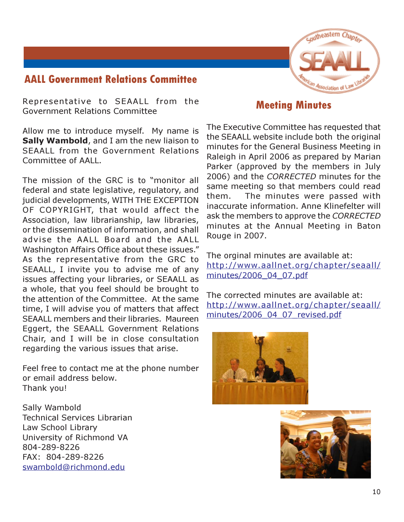# AALL Government Relations Committee



Representative to SEAALL from the Government Relations Committee

Allow me to introduce myself. My name is Sally Wambold, and I am the new liaison to SEAALL from the Government Relations Committee of AALL.

The mission of the GRC is to "monitor all federal and state legislative, regulatory, and judicial developments, WITH THE EXCEPTION OF COPYRIGHT, that would affect the Association, law librarianship, law libraries, or the dissemination of information, and shall advise the AALL Board and the AALL Washington Affairs Office about these issues." As the representative from the GRC to SEAALL, I invite you to advise me of any issues affecting your libraries, or SEAALL as a whole, that you feel should be brought to the attention of the Committee. At the same time, I will advise you of matters that affect SEAALL members and their libraries. Maureen Eggert, the SEAALL Government Relations Chair, and I will be in close consultation regarding the various issues that arise.

Feel free to contact me at the phone number or email address below. Thank you!

Sally Wambold Technical Services Librarian Law School Library University of Richmond VA 804-289-8226 FAX: 804-289-8226 swambold@richmond.edu

## Meeting Minutes

The Executive Committee has requested that the SEAALL website include both the original minutes for the General Business Meeting in Raleigh in April 2006 as prepared by Marian Parker (approved by the members in July 2006) and the CORRECTED minutes for the same meeting so that members could read them. The minutes were passed with inaccurate information. Anne Klinefelter will ask the members to approve the CORRECTED minutes at the Annual Meeting in Baton Rouge in 2007.

The orginal minutes are available at: http://www.aallnet.org/chapter/seaall/ minutes/2006\_04\_07.pdf

The corrected minutes are available at: http://www.aallnet.org/chapter/seaall/ minutes/2006\_04\_07\_revised.pdf



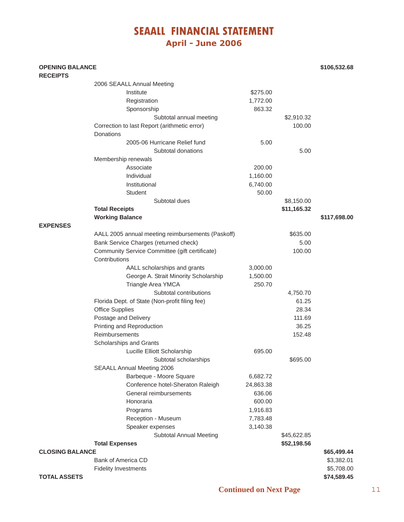# SEAALL FINANCIAL STATEMENT April - June 2006

#### **OPENING BALANCE \$106,532.68 RECEIPTS**

|                        | 2006 SEAALL Annual Meeting                        |           |             |              |
|------------------------|---------------------------------------------------|-----------|-------------|--------------|
|                        | Institute                                         | \$275.00  |             |              |
|                        | Registration                                      | 1,772.00  |             |              |
|                        | Sponsorship                                       | 863.32    |             |              |
|                        | Subtotal annual meeting                           |           | \$2,910.32  |              |
|                        | Correction to last Report (arithmetic error)      |           | 100.00      |              |
|                        | <b>Donations</b>                                  |           |             |              |
|                        | 2005-06 Hurricane Relief fund                     | 5.00      |             |              |
|                        | Subtotal donations                                |           | 5.00        |              |
|                        | Membership renewals                               |           |             |              |
|                        | Associate                                         | 200.00    |             |              |
|                        | Individual                                        | 1,160.00  |             |              |
|                        | Institutional                                     | 6,740.00  |             |              |
|                        | <b>Student</b>                                    | 50.00     |             |              |
|                        | Subtotal dues                                     |           | \$8,150.00  |              |
|                        | <b>Total Receipts</b>                             |           | \$11,165.32 |              |
|                        | <b>Working Balance</b>                            |           |             | \$117,698.00 |
| <b>EXPENSES</b>        |                                                   |           |             |              |
|                        | AALL 2005 annual meeting reimbursements (Paskoff) |           | \$635.00    |              |
|                        | Bank Service Charges (returned check)             |           | 5.00        |              |
|                        | Community Service Committee (gift certificate)    |           | 100.00      |              |
|                        | Contributions                                     |           |             |              |
|                        | AALL scholarships and grants                      | 3,000.00  |             |              |
|                        | George A. Strait Minority Scholarship             | 1,500.00  |             |              |
|                        | Triangle Area YMCA                                | 250.70    |             |              |
|                        | Subtotal contributions                            |           | 4,750.70    |              |
|                        | Florida Dept. of State (Non-profit filing fee)    |           | 61.25       |              |
|                        | <b>Office Supplies</b>                            |           | 28.34       |              |
|                        | Postage and Delivery                              |           | 111.69      |              |
|                        | Printing and Reproduction                         |           | 36.25       |              |
|                        | Reimbursements                                    |           | 152.48      |              |
|                        | Scholarships and Grants                           |           |             |              |
|                        | Lucille Elliott Scholarship                       | 695.00    |             |              |
|                        | Subtotal scholarships                             |           | \$695.00    |              |
|                        | <b>SEAALL Annual Meeting 2006</b>                 |           |             |              |
|                        | Barbeque - Moore Square                           | 6,682.72  |             |              |
|                        | Conference hotel-Sheraton Raleigh                 | 24,863.38 |             |              |
|                        | General reimbursements                            | 636.06    |             |              |
|                        | Honoraria                                         | 600.00    |             |              |
|                        | Programs                                          | 1,916.83  |             |              |
|                        | Reception - Museum                                | 7,783.48  |             |              |
|                        | Speaker expenses                                  | 3,140.38  |             |              |
|                        | <b>Subtotal Annual Meeting</b>                    |           | \$45,622.85 |              |
|                        | <b>Total Expenses</b>                             |           | \$52,198.56 |              |
| <b>CLOSING BALANCE</b> |                                                   |           |             | \$65,499.44  |
|                        | <b>Bank of America CD</b>                         |           |             | \$3,382.01   |
|                        | <b>Fidelity Investments</b>                       |           |             | \$5,708.00   |
| <b>TOTAL ASSETS</b>    |                                                   |           |             | \$74,589.45  |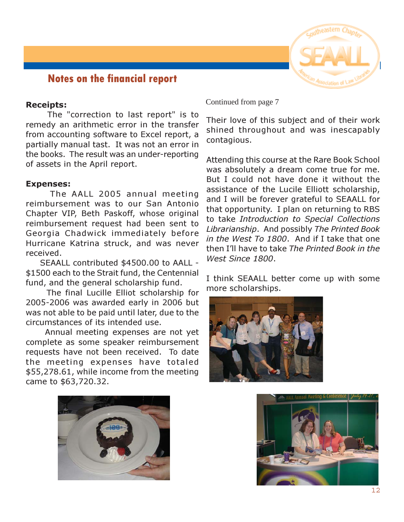

#### Notes on the financial report

#### Receipts:

 The "correction to last report" is to remedy an arithmetic error in the transfer from accounting software to Excel report, a partially manual tast. It was not an error in the books. The result was an under-reporting of assets in the April report.

#### Expenses:

 The AALL 2005 annual meeting reimbursement was to our San Antonio Chapter VIP, Beth Paskoff, whose original reimbursement request had been sent to Georgia Chadwick immediately before Hurricane Katrina struck, and was never received.

 SEAALL contributed \$4500.00 to AALL - \$1500 each to the Strait fund, the Centennial fund, and the general scholarship fund.

 The final Lucille Elliot scholarship for 2005-2006 was awarded early in 2006 but was not able to be paid until later, due to the circumstances of its intended use.

 Annual meeting expenses are not yet complete as some speaker reimbursement requests have not been received. To date the meeting expenses have totaled \$55,278.61, while income from the meeting came to \$63,720.32.

Continued from page 7

Their love of this subject and of their work shined throughout and was inescapably contagious.

Attending this course at the Rare Book School was absolutely a dream come true for me. But I could not have done it without the assistance of the Lucile Elliott scholarship, and I will be forever grateful to SEAALL for that opportunity. I plan on returning to RBS to take Introduction to Special Collections Librarianship. And possibly The Printed Book in the West To 1800. And if I take that one then I'll have to take The Printed Book in the West Since 1800.

I think SEAALL better come up with some more scholarships.





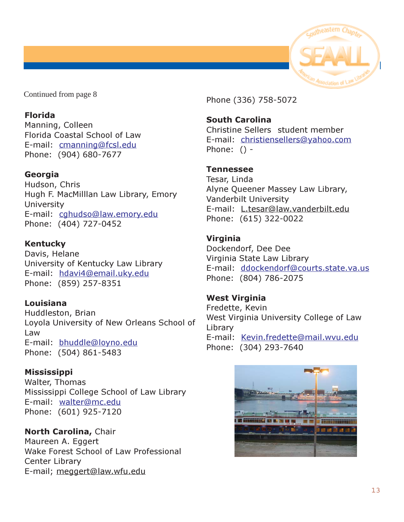

#### Florida

Manning, Colleen Florida Coastal School of Law E-mail: cmanning@fcsl.edu Phone: (904) 680-7677

#### Georgia

Hudson, Chris Hugh F. MacMilllan Law Library, Emory **University** E-mail: cghudso@law.emory.edu Phone: (404) 727-0452

#### Kentucky

Davis, Helane University of Kentucky Law Library E-mail: hdavi4@email.uky.edu Phone: (859) 257-8351

#### Louisiana

Huddleston, Brian Loyola University of New Orleans School of Law E-mail: bhuddle@loyno.edu Phone: (504) 861-5483

**Mississippi** Walter, Thomas Mississippi College School of Law Library E-mail: walter@mc.edu Phone: (601) 925-7120

#### North Carolina, Chair

Maureen A. Eggert Wake Forest School of Law Professional Center Library E-mail; meggert@law.wfu.edu

Phone (336) 758-5072

South Carolina

Christine Sellers student member E-mail: christiensellers@yahoo.com Phone: () -

#### Tennessee

Tesar, Linda Alyne Queener Massey Law Library, Vanderbilt University E-mail: L.tesar@law.vanderbilt.edu Phone: (615) 322-0022

#### Virginia

Dockendorf, Dee Dee Virginia State Law Library E-mail: ddockendorf@courts.state.va.us Phone: (804) 786-2075

#### West Virginia

Fredette, Kevin West Virginia University College of Law Library E-mail: Kevin.fredette@mail.wvu.edu Phone: (304) 293-7640

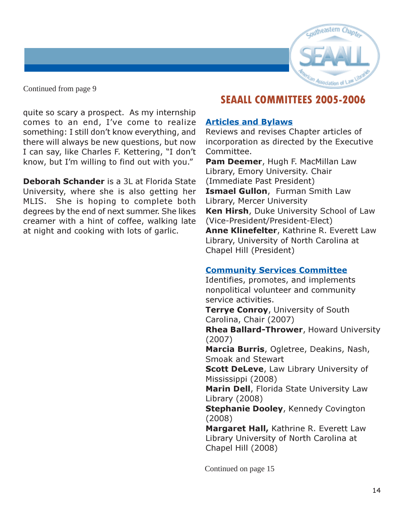

quite so scary a prospect. As my internship comes to an end, I've come to realize something: I still don't know everything, and there will always be new questions, but now I can say, like Charles F. Kettering, "I don't know, but I'm willing to find out with you."

Deborah Schander is a 3L at Florida State University, where she is also getting her MLIS. She is hoping to complete both degrees by the end of next summer. She likes creamer with a hint of coffee, walking late at night and cooking with lots of garlic.

# SEAALL COMMITTEES 2005-2006

#### Articles and Bylaws

Reviews and revises Chapter articles of incorporation as directed by the Executive Committee.

Pam Deemer, Hugh F. MacMillan Law Library, Emory University. Chair (Immediate Past President) **Ismael Gullon, Furman Smith Law** Library, Mercer University Ken Hirsh, Duke University School of Law (Vice-President/President-Elect) Anne Klinefelter, Kathrine R. Everett Law Library, University of North Carolina at Chapel Hill (President)

#### Community Services Committee

Identifies, promotes, and implements nonpolitical volunteer and community service activities. Terrye Conroy, University of South Carolina, Chair (2007) Rhea Ballard-Thrower, Howard University (2007) Marcia Burris, Ogletree, Deakins, Nash, Smoak and Stewart **Scott DeLeve, Law Library University of** Mississippi (2008) Marin Dell, Florida State University Law Library (2008) **Stephanie Dooley, Kennedy Covington** (2008) Margaret Hall, Kathrine R. Everett Law Library University of North Carolina at Chapel Hill (2008)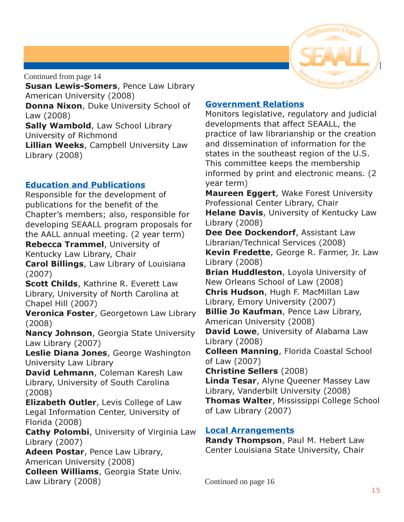

**Susan Lewis-Somers, Pence Law Library** American University (2008)

Donna Nixon, Duke University School of Law (2008)

Sally Wambold, Law School Library University of Richmond **Lillian Weeks, Campbell University Law** Library (2008)

#### Education and Publications

Responsible for the development of publications for the benefit of the Chapter's members; also, responsible for developing SEAALL program proposals for the AALL annual meeting. (2 year term) Rebecca Trammel, University of Kentucky Law Library, Chair Carol Billings, Law Library of Louisiana (2007)

Scott Childs, Kathrine R. Everett Law Library, University of North Carolina at Chapel Hill (2007)

Veronica Foster, Georgetown Law Library (2008)

Nancy Johnson, Georgia State University Law Library (2007)

Leslie Diana Jones, George Washington University Law Library

David Lehmann, Coleman Karesh Law Library, University of South Carolina (2008)

**Elizabeth Outler, Levis College of Law** Legal Information Center, University of Florida (2008)

Cathy Polombi, University of Virginia Law Library (2007)

Adeen Postar, Pence Law Library, American University (2008)

Colleen Williams, Georgia State Univ. Law Library (2008)

#### Government Relations

Monitors legislative, regulatory and judicial developments that affect SEAALL, the practice of law librarianship or the creation and dissemination of information for the states in the southeast region of the U.S. This committee keeps the membership informed by print and electronic means. (2 year term)

**Maureen Eggert, Wake Forest University** Professional Center Library, Chair **Helane Davis, University of Kentucky Law** Library (2008)

Dee Dee Dockendorf, Assistant Law Librarian/Technical Services (2008)

Kevin Fredette, George R. Farmer, Jr. Law Library (2008)

**Brian Huddleston, Loyola University of** New Orleans School of Law (2008)

Chris Hudson, Hugh F. MacMillan Law Library, Emory University (2007)

**Billie Jo Kaufman, Pence Law Library,** American University (2008)

David Lowe, University of Alabama Law Library (2008)

Colleen Manning, Florida Coastal School of Law (2007)

Christine Sellers (2008)

Linda Tesar, Alyne Queener Massey Law Library, Vanderbilt University (2008) Thomas Walter, Mississippi College School of Law Library (2007)

#### Local Arrangements

Randy Thompson, Paul M. Hebert Law Center Louisiana State University, Chair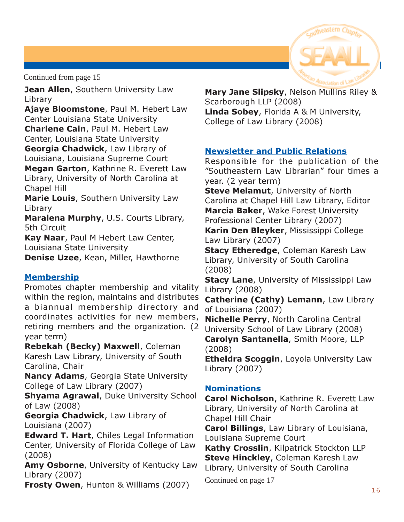

Jean Allen, Southern University Law Library

Ajaye Bloomstone, Paul M. Hebert Law Center Louisiana State University Charlene Cain, Paul M. Hebert Law Center, Louisiana State University

Georgia Chadwick, Law Library of Louisiana, Louisiana Supreme Court Megan Garton, Kathrine R. Everett Law

Library, University of North Carolina at Chapel Hill

**Marie Louis, Southern University Law** Library

Maralena Murphy, U.S. Courts Library, 5th Circuit

Kay Naar, Paul M Hebert Law Center, Louisiana State University

Denise Uzee, Kean, Miller, Hawthorne

#### **Membership**

Promotes chapter membership and vitality within the region, maintains and distributes a biannual membership directory and coordinates activities for new members, retiring members and the organization. (2 year term)

Rebekah (Becky) Maxwell, Coleman Karesh Law Library, University of South Carolina, Chair

Nancy Adams, Georgia State University College of Law Library (2007)

Shyama Agrawal, Duke University School of Law (2008)

Georgia Chadwick, Law Library of Louisiana (2007)

Edward T. Hart, Chiles Legal Information Center, University of Florida College of Law (2008)

Amy Osborne, University of Kentucky Law Library (2007)

Frosty Owen, Hunton & Williams (2007)

Mary Jane Slipsky, Nelson Mullins Riley & Scarborough LLP (2008) Linda Sobey, Florida A & M University, College of Law Library (2008)

#### Newsletter and Public Relations

Responsible for the publication of the "Southeastern Law Librarian" four times a year. (2 year term)

**Steve Melamut, University of North** Carolina at Chapel Hill Law Library, Editor Marcia Baker, Wake Forest University Professional Center Library (2007)

Karin Den Bleyker, Mississippi College Law Library (2007)

**Stacy Etheredge, Coleman Karesh Law** Library, University of South Carolina (2008)

**Stacy Lane, University of Mississippi Law** Library (2008)

Catherine (Cathy) Lemann, Law Library of Louisiana (2007)

Nichelle Perry, North Carolina Central University School of Law Library (2008) Carolyn Santanella, Smith Moore, LLP (2008)

**Etheldra Scoggin, Loyola University Law** Library (2007)

#### **Nominations**

Carol Nicholson, Kathrine R. Everett Law Library, University of North Carolina at Chapel Hill Chair

Carol Billings, Law Library of Louisiana, Louisiana Supreme Court

Kathy Crosslin, Kilpatrick Stockton LLP **Steve Hinckley, Coleman Karesh Law** Library, University of South Carolina